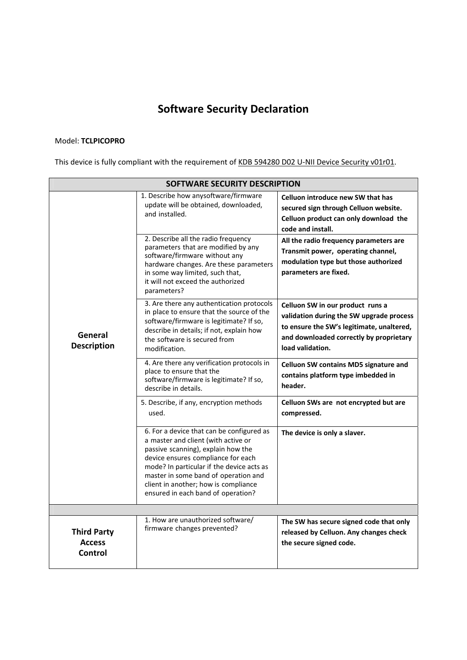## **Software Security Declaration**

## Model: **TCLPICOPRO**

This device is fully compliant with the requirement of KDB 594280 D02 U-NII Device Security v01r01.

| <b>SOFTWARE SECURITY DESCRIPTION</b>           |                                                                                                                                                                                                                                                                                                                                 |                                                                                                                                                                                          |  |  |
|------------------------------------------------|---------------------------------------------------------------------------------------------------------------------------------------------------------------------------------------------------------------------------------------------------------------------------------------------------------------------------------|------------------------------------------------------------------------------------------------------------------------------------------------------------------------------------------|--|--|
| General<br><b>Description</b>                  | 1. Describe how anysoftware/firmware<br>update will be obtained, downloaded,<br>and installed.                                                                                                                                                                                                                                  | Celluon introduce new SW that has<br>secured sign through Celluon website.<br>Celluon product can only download the<br>code and install.                                                 |  |  |
|                                                | 2. Describe all the radio frequency<br>parameters that are modified by any<br>software/firmware without any<br>hardware changes. Are these parameters<br>in some way limited, such that,<br>it will not exceed the authorized<br>parameters?                                                                                    | All the radio frequency parameters are<br>Transmit power, operating channel,<br>modulation type but those authorized<br>parameters are fixed.                                            |  |  |
|                                                | 3. Are there any authentication protocols<br>in place to ensure that the source of the<br>software/firmware is legitimate? If so,<br>describe in details; if not, explain how<br>the software is secured from<br>modification.                                                                                                  | Celluon SW in our product runs a<br>validation during the SW upgrade process<br>to ensure the SW's legitimate, unaltered,<br>and downloaded correctly by proprietary<br>load validation. |  |  |
|                                                | 4. Are there any verification protocols in<br>place to ensure that the<br>software/firmware is legitimate? If so,<br>describe in details.                                                                                                                                                                                       | Celluon SW contains MD5 signature and<br>contains platform type imbedded in<br>header.                                                                                                   |  |  |
|                                                | 5. Describe, if any, encryption methods<br>used.                                                                                                                                                                                                                                                                                | Celluon SWs are not encrypted but are<br>compressed.                                                                                                                                     |  |  |
|                                                | 6. For a device that can be configured as<br>a master and client (with active or<br>passive scanning), explain how the<br>device ensures compliance for each<br>mode? In particular if the device acts as<br>master in some band of operation and<br>client in another; how is compliance<br>ensured in each band of operation? | The device is only a slaver.                                                                                                                                                             |  |  |
|                                                |                                                                                                                                                                                                                                                                                                                                 |                                                                                                                                                                                          |  |  |
| <b>Third Party</b><br><b>Access</b><br>Control | 1. How are unauthorized software/<br>firmware changes prevented?                                                                                                                                                                                                                                                                | The SW has secure signed code that only<br>released by Celluon. Any changes check<br>the secure signed code.                                                                             |  |  |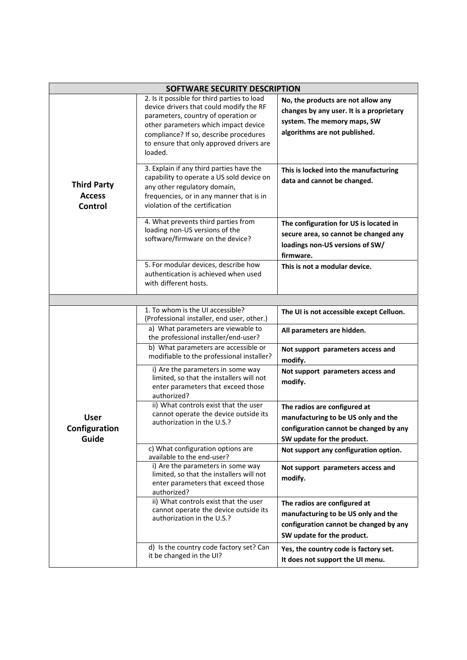| SOFTWARE SECURITY DESCRIPTION                         |                                                                                                                                                                                                                                                                        |                                                                                                                                                |  |  |
|-------------------------------------------------------|------------------------------------------------------------------------------------------------------------------------------------------------------------------------------------------------------------------------------------------------------------------------|------------------------------------------------------------------------------------------------------------------------------------------------|--|--|
| <b>Third Party</b><br><b>Access</b><br><b>Control</b> | 2. Is it possible for third parties to load<br>device drivers that could modify the RF<br>parameters, country of operation or<br>other parameters which impact device<br>compliance? If so, describe procedures<br>to ensure that only approved drivers are<br>loaded. | No, the products are not allow any<br>changes by any user. It is a proprietary<br>system. The memory maps, SW<br>algorithms are not published. |  |  |
|                                                       | 3. Explain if any third parties have the<br>capability to operate a US sold device on<br>any other regulatory domain,<br>frequencies, or in any manner that is in<br>violation of the certification                                                                    | This is locked into the manufacturing<br>data and cannot be changed.                                                                           |  |  |
|                                                       | 4. What prevents third parties from<br>loading non-US versions of the<br>software/firmware on the device?                                                                                                                                                              | The configuration for US is located in<br>secure area, so cannot be changed any<br>loadings non-US versions of SW/<br>firmware.                |  |  |
|                                                       | 5. For modular devices, describe how<br>authentication is achieved when used<br>with different hosts.                                                                                                                                                                  | This is not a modular device.                                                                                                                  |  |  |
|                                                       |                                                                                                                                                                                                                                                                        |                                                                                                                                                |  |  |
| <b>User</b><br>Configuration<br>Guide                 | 1. To whom is the UI accessible?<br>(Professional installer, end user, other.)                                                                                                                                                                                         | The UI is not accessible except Celluon.                                                                                                       |  |  |
|                                                       | a) What parameters are viewable to<br>the professional installer/end-user?                                                                                                                                                                                             | All parameters are hidden.                                                                                                                     |  |  |
|                                                       | b) What parameters are accessible or<br>modifiable to the professional installer?                                                                                                                                                                                      | Not support parameters access and<br>modify.                                                                                                   |  |  |
|                                                       | i) Are the parameters in some way<br>limited, so that the installers will not<br>enter parameters that exceed those<br>authorized?                                                                                                                                     | Not support parameters access and<br>modify.                                                                                                   |  |  |
|                                                       | ii) What controls exist that the user<br>cannot operate the device outside its<br>authorization in the U.S.?                                                                                                                                                           | The radios are configured at<br>manufacturing to be US only and the<br>configuration cannot be changed by any<br>SW update for the product.    |  |  |
|                                                       | c) What configuration options are<br>available to the end-user?                                                                                                                                                                                                        | Not support any configuration option.                                                                                                          |  |  |
|                                                       | i) Are the parameters in some way<br>limited, so that the installers will not<br>enter parameters that exceed those<br>authorized?                                                                                                                                     | Not support parameters access and<br>modify.                                                                                                   |  |  |
|                                                       | ii) What controls exist that the user<br>cannot operate the device outside its<br>authorization in the U.S.?                                                                                                                                                           | The radios are configured at<br>manufacturing to be US only and the<br>configuration cannot be changed by any<br>SW update for the product.    |  |  |
|                                                       | d) Is the country code factory set? Can<br>it be changed in the UI?                                                                                                                                                                                                    | Yes, the country code is factory set.<br>It does not support the UI menu.                                                                      |  |  |